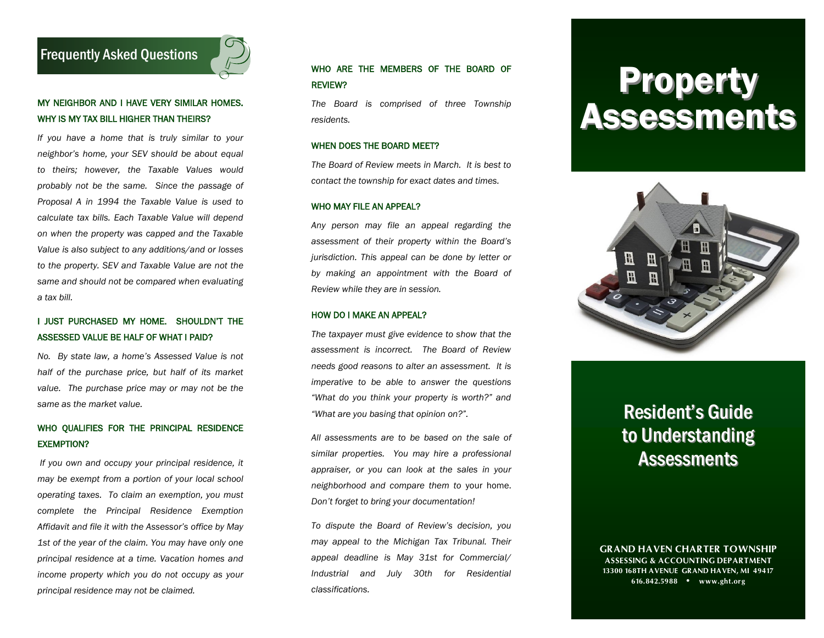# Frequently Asked Questions

# MY NEIGHBOR AND I HAVE VERY SIMILAR HOMES. WHY IS MY TAX BILL HIGHER THAN THEIRS?

*If you have a home that is truly similar to your neighbor's home, your SEV should be about equal to theirs; however, the Taxable Values would probably not be the same. Since the passage of Proposal A in 1994 the Taxable Value is used to calculate tax bills. Each Taxable Value will depend on when the property was capped and the Taxable Value is also subject to any additions/and or losses to the property. SEV and Taxable Value are not the same and should not be compared when evaluating a tax bill.* 

### I JUST PURCHASED MY HOME. SHOULDN'T THE ASSESSED VALUE BE HALF OF WHAT I PAID?

*No. By state law, a home's Assessed Value is not half of the purchase price, but half of its market value. The purchase price may or may not be the same as the market value.*

## WHO QUALIFIES FOR THE PRINCIPAL RESIDENCE EXEMPTION?

*If you own and occupy your principal residence, it may be exempt from a portion of your local school operating taxes. To claim an exemption, you must complete the Principal Residence Exemption Affidavit and file it with the Assessor's office by May 1st of the year of the claim. You may have only one principal residence at a time. Vacation homes and income property which you do not occupy as your principal residence may not be claimed.*

# WHO ARE THE MEMBERS OF THE BOARD OF REVIEW?

*The Board is comprised of three Township residents.*

#### WHEN DOES THE BOARD MEET?

*The Board of Review meets in March. It is best to contact the township for exact dates and times.*

#### WHO MAY FILE AN APPEAL?

*Any person may file an appeal regarding the assessment of their property within the Board's jurisdiction. This appeal can be done by letter or by making an appointment with the Board of Review while they are in session.*

#### HOW DO I MAKE AN APPEAL?

*The taxpayer must give evidence to show that the assessment is incorrect. The Board of Review needs good reasons to alter an assessment. It is imperative to be able to answer the questions "What do you think your property is worth?" and "What are you basing that opinion on?".*

*All assessments are to be based on the sale of similar properties. You may hire a professional appraiser, or you can look at the sales in your neighborhood and compare them to* your home. *Don't forget to bring your documentation!*

*To dispute the Board of Review's decision, you may appeal to the Michigan Tax Tribunal. Their appeal deadline is May 31st for Commercial/ Industrial and July 30th for Residential classifications.* 

# Property Assessments



# Resident's Guide to Understanding **Assessments**

**GRAND HAVEN CHARTER TOWNSHIP ASSESSING & ACCOUNTING DEPARTMENT 13300 168TH AVENUE GRAND HAVEN, MI 49417 616.842.5988 • www.ght.org**